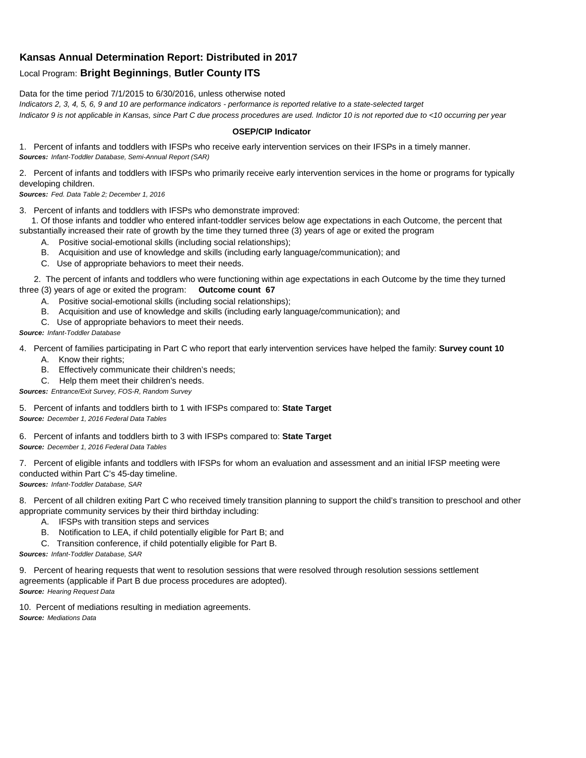## **Kansas Annual Determination Report: Distributed in 2017**

## Local Program: **Bright Beginnings**, **Butler County ITS**

Data for the time period 7/1/2015 to 6/30/2016, unless otherwise noted

*Indicators 2, 3, 4, 5, 6, 9 and 10 are performance indicators - performance is reported relative to a state-selected target Indicator 9 is not applicable in Kansas, since Part C due process procedures are used. Indictor 10 is not reported due to <10 occurring per year*

## **OSEP/CIP Indicator**

1. Percent of infants and toddlers with IFSPs who receive early intervention services on their IFSPs in a timely manner. *Sources: Infant-Toddler Database, Semi-Annual Report (SAR)* 

2. Percent of infants and toddlers with IFSPs who primarily receive early intervention services in the home or programs for typically developing children.

*Sources: Fed. Data Table 2; December 1, 2016*

3. Percent of infants and toddlers with IFSPs who demonstrate improved:

 1. Of those infants and toddler who entered infant-toddler services below age expectations in each Outcome, the percent that substantially increased their rate of growth by the time they turned three (3) years of age or exited the program

- A. Positive social-emotional skills (including social relationships);
- B. Acquisition and use of knowledge and skills (including early language/communication); and
- C. Use of appropriate behaviors to meet their needs.

 2. The percent of infants and toddlers who were functioning within age expectations in each Outcome by the time they turned three (3) years of age or exited the program: **Outcome count 67**

- A. Positive social-emotional skills (including social relationships);
- B. Acquisition and use of knowledge and skills (including early language/communication); and
- C. Use of appropriate behaviors to meet their needs.

## *Source: Infant-Toddler Database*

4. Percent of families participating in Part C who report that early intervention services have helped the family: **Survey count 10**

- A. Know their rights;
- B. Effectively communicate their children's needs;
- C. Help them meet their children's needs.
- *Sources: Entrance/Exit Survey, FOS-R, Random Survey*

5. Percent of infants and toddlers birth to 1 with IFSPs compared to: **State Target** *Source: December 1, 2016 Federal Data Tables*

6. Percent of infants and toddlers birth to 3 with IFSPs compared to: **State Target** *Source: December 1, 2016 Federal Data Tables*

7. Percent of eligible infants and toddlers with IFSPs for whom an evaluation and assessment and an initial IFSP meeting were conducted within Part C's 45-day timeline.

*Sources: Infant-Toddler Database, SAR*

8. Percent of all children exiting Part C who received timely transition planning to support the child's transition to preschool and other appropriate community services by their third birthday including:

- A. IFSPs with transition steps and services
- B. Notification to LEA, if child potentially eligible for Part B; and
- C. Transition conference, if child potentially eligible for Part B.

*Sources: Infant-Toddler Database, SAR*

9. Percent of hearing requests that went to resolution sessions that were resolved through resolution sessions settlement agreements (applicable if Part B due process procedures are adopted). *Source: Hearing Request Data*

10. Percent of mediations resulting in mediation agreements. *Source: Mediations Data*